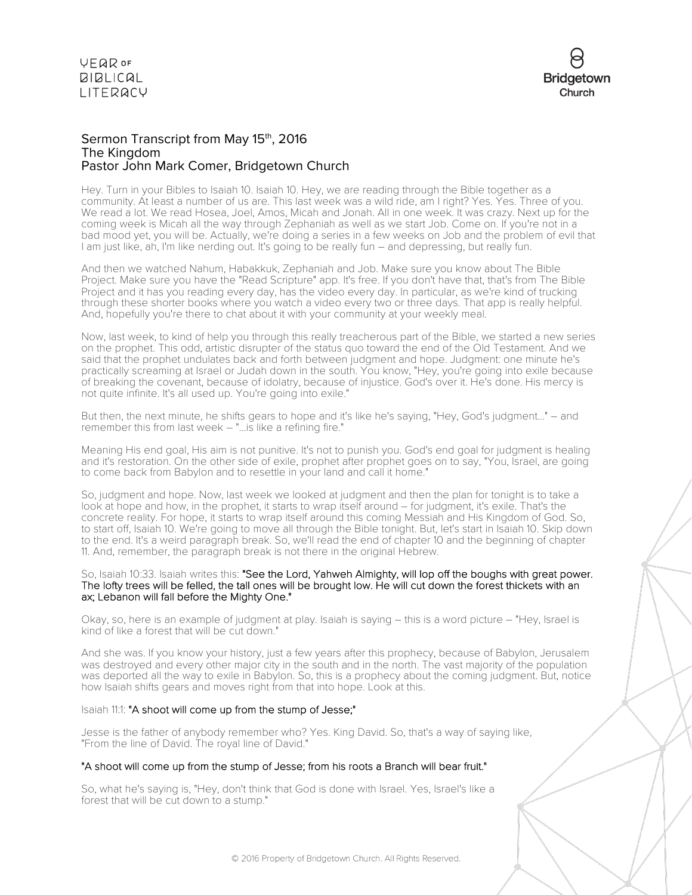

### Sermon Transcript from May 15<sup>th</sup>, 2016 The Kingdom Pastor John Mark Comer, Bridgetown Church

Hey. Turn in your Bibles to Isaiah 10. Isaiah 10. Hey, we are reading through the Bible together as a community. At least a number of us are. This last week was a wild ride, am I right? Yes. Yes. Three of you. We read a lot. We read Hosea, Joel, Amos, Micah and Jonah. All in one week. It was crazy. Next up for the coming week is Micah all the way through Zephaniah as well as we start Job. Come on. If you're not in a bad mood yet, you will be. Actually, we're doing a series in a few weeks on Job and the problem of evil that I am just like, ah, I'm like nerding out. It's going to be really fun – and depressing, but really fun.

And then we watched Nahum, Habakkuk, Zephaniah and Job. Make sure you know about The Bible Project. Make sure you have the "Read Scripture" app. It's free. If you don't have that, that's from The Bible Project and it has you reading every day, has the video every day. In particular, as we're kind of trucking through these shorter books where you watch a video every two or three days. That app is really helpful. And, hopefully you're there to chat about it with your community at your weekly meal.

Now, last week, to kind of help you through this really treacherous part of the Bible, we started a new series on the prophet. This odd, artistic disrupter of the status quo toward the end of the Old Testament. And we said that the prophet undulates back and forth between judgment and hope. Judgment: one minute he's practically screaming at Israel or Judah down in the south. You know, "Hey, you're going into exile because of breaking the covenant, because of idolatry, because of injustice. God's over it. He's done. His mercy is not quite infinite. It's all used up. You're going into exile."

But then, the next minute, he shifts gears to hope and it's like he's saying, "Hey, God's judgment..." – and remember this from last week – "...is like a refining fire."

Meaning His end goal, His aim is not punitive. It's not to punish you. God's end goal for judgment is healing and it's restoration. On the other side of exile, prophet after prophet goes on to say, "You, Israel, are going to come back from Babylon and to resettle in your land and call it home."

So, judgment and hope. Now, last week we looked at judgment and then the plan for tonight is to take a look at hope and how, in the prophet, it starts to wrap itself around – for judgment, it's exile. That's the concrete reality. For hope, it starts to wrap itself around this coming Messiah and His Kingdom of God. So, to start off, Isaiah 10. We're going to move all through the Bible tonight. But, let's start in Isaiah 10. Skip down to the end. It's a weird paragraph break. So, we'll read the end of chapter 10 and the beginning of chapter 11. And, remember, the paragraph break is not there in the original Hebrew.

#### So, Isaiah 10:33. Isaiah writes this: "See the Lord, Yahweh Almighty, will lop off the boughs with great power. The lofty trees will be felled, the tall ones will be brought low. He will cut down the forest thickets with an ax; Lebanon will fall before the Mighty One."

Okay, so, here is an example of judgment at play. Isaiah is saying – this is a word picture – "Hey, Israel is kind of like a forest that will be cut down."

And she was. If you know your history, just a few years after this prophecy, because of Babylon, Jerusalem was destroyed and every other major city in the south and in the north. The vast majority of the population was deported all the way to exile in Babylon. So, this is a prophecy about the coming judgment. But, notice how Isaiah shifts gears and moves right from that into hope. Look at this.

### Isaiah 11:1: "A shoot will come up from the stump of Jesse;"

Jesse is the father of anybody remember who? Yes. King David. So, that's a way of saying like, "From the line of David. The royal line of David."

### "A shoot will come up from the stump of Jesse; from his roots a Branch will bear fruit."

So, what he's saying is, "Hey, don't think that God is done with Israel. Yes, Israel's like a forest that will be cut down to a stump."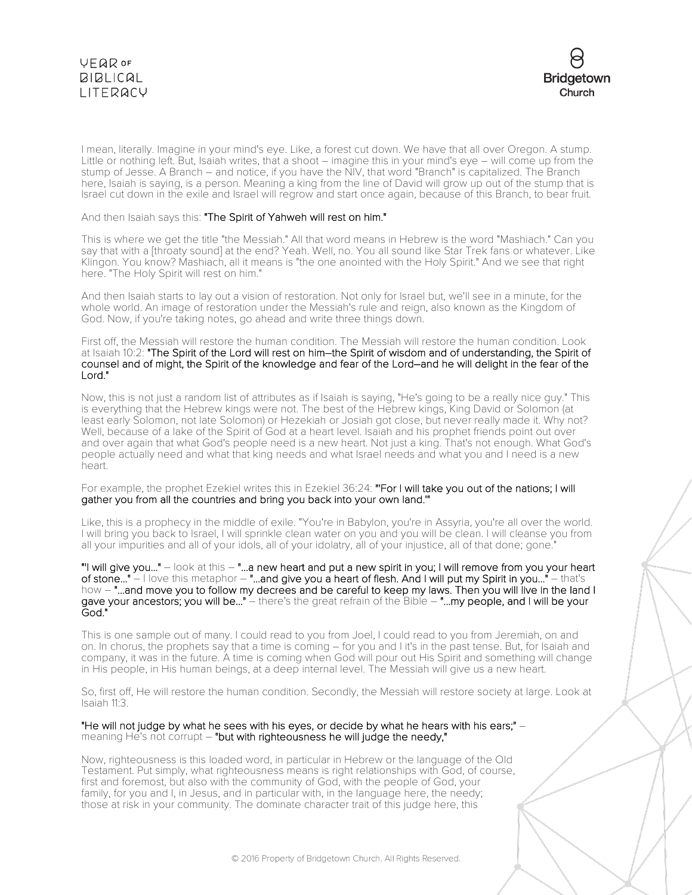



I mean, literally. Imagine in your mind's eye. Like, a forest cut down. We have that all over Oregon. A stump. Little or nothing left. But, Isaiah writes, that a shoot – imagine this in your mind's eye – will come up from the stump of Jesse. A Branch – and notice, if you have the NIV, that word "Branch" is capitalized. The Branch here, Isaiah is saying, is a person. Meaning a king from the line of David will grow up out of the stump that is Israel cut down in the exile and Israel will regrow and start once again, because of this Branch, to bear fruit.

And then Isaiah says this: "The Spirit of Yahweh will rest on him."

This is where we get the title "the Messiah." All that word means in Hebrew is the word "Mashiach." Can you say that with a [throaty sound] at the end? Yeah. Well, no. You all sound like Star Trek fans or whatever. Like Klingon. You know? Mashiach, all it means is "the one anointed with the Holy Spirit." And we see that right here. "The Holy Spirit will rest on him."

And then Isaiah starts to lay out a vision of restoration. Not only for Israel but, we'll see in a minute, for the whole world. An image of restoration under the Messiah's rule and reign, also known as the Kingdom of God. Now, if you're taking notes, go ahead and write three things down.

First off, the Messiah will restore the human condition. The Messiah will restore the human condition. Look at Isaiah 10:2: "The Spirit of the Lord will rest on him–the Spirit of wisdom and of understanding, the Spirit of counsel and of might, the Spirit of the knowledge and fear of the Lord–and he will delight in the fear of the Lord."

Now, this is not just a random list of attributes as if Isaiah is saying, "He's going to be a really nice guy." This is everything that the Hebrew kings were not. The best of the Hebrew kings, King David or Solomon (at least early Solomon, not late Solomon) or Hezekiah or Josiah got close, but never really made it. Why not? Well, because of a lake of the Spirit of God at a heart level. Isaiah and his prophet friends point out over and over again that what God's people need is a new heart. Not just a king. That's not enough. What God's people actually need and what that king needs and what Israel needs and what you and I need is a new heart.

For example, the prophet Ezekiel writes this in Ezekiel 36:24: "For I will take you out of the nations; I will gather you from all the countries and bring you back into your own land.'"

Like, this is a prophecy in the middle of exile. "You're in Babylon, you're in Assyria, you're all over the world. I will bring you back to Israel, I will sprinkle clean water on you and you will be clean. I will cleanse you from all your impurities and all of your idols, all of your idolatry, all of your injustice, all of that done; gone."

"'I will give you..." – look at this – "...a new heart and put a new spirit in you; I will remove from you your heart of stone..." – I love this metaphor – "...and give you a heart of flesh. And I will put my Spirit in you..." – that's how - "...and move you to follow my decrees and be careful to keep my laws. Then you will live in the land I gave your ancestors; you will be..." - there's the great refrain of the Bible - "...my people, and I will be your God."

This is one sample out of many. I could read to you from Joel, I could read to you from Jeremiah, on and on. In chorus, the prophets say that a time is coming – for you and I it's in the past tense. But, for Isaiah and company, it was in the future. A time is coming when God will pour out His Spirit and something will change in His people, in His human beings, at a deep internal level. The Messiah will give us a new heart.

So, first off, He will restore the human condition. Secondly, the Messiah will restore society at large. Look at Isaiah 11:3.

#### "He will not judge by what he sees with his eyes, or decide by what he hears with his ears;" – meaning He's not corrupt – "but with righteousness he will judge the needy,"

Now, righteousness is this loaded word, in particular in Hebrew or the language of the Old Testament. Put simply, what righteousness means is right relationships with God, of course, first and foremost, but also with the community of God, with the people of God, your family, for you and I, in Jesus, and in particular with, in the language here, the needy; those at risk in your community. The dominate character trait of this judge here, this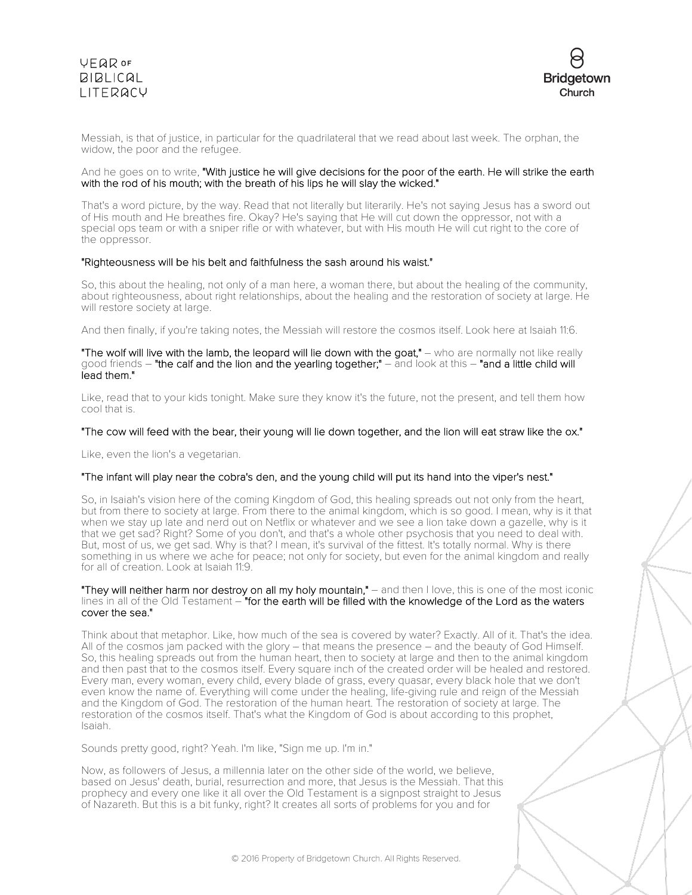

Messiah, is that of justice, in particular for the quadrilateral that we read about last week. The orphan, the widow, the poor and the refugee.

### And he goes on to write, "With justice he will give decisions for the poor of the earth. He will strike the earth with the rod of his mouth; with the breath of his lips he will slay the wicked."

That's a word picture, by the way. Read that not literally but literarily. He's not saying Jesus has a sword out of His mouth and He breathes fire. Okay? He's saying that He will cut down the oppressor, not with a special ops team or with a sniper rifle or with whatever, but with His mouth He will cut right to the core of the oppressor.

#### "Righteousness will be his belt and faithfulness the sash around his waist."

So, this about the healing, not only of a man here, a woman there, but about the healing of the community, about righteousness, about right relationships, about the healing and the restoration of society at large. He will restore society at large.

And then finally, if you're taking notes, the Messiah will restore the cosmos itself. Look here at Isaiah 11:6.

#### "The wolf will live with the lamb, the leopard will lie down with the goat," - who are normally not like really good friends – "the calf and the lion and the yearling together;" – and look at this – "and a little child will lead them."

Like, read that to your kids tonight. Make sure they know it's the future, not the present, and tell them how cool that is.

### "The cow will feed with the bear, their young will lie down together, and the lion will eat straw like the ox."

Like, even the lion's a vegetarian.

### "The infant will play near the cobra's den, and the young child will put its hand into the viper's nest."

So, in Isaiah's vision here of the coming Kingdom of God, this healing spreads out not only from the heart, but from there to society at large. From there to the animal kingdom, which is so good. I mean, why is it that when we stay up late and nerd out on Netflix or whatever and we see a lion take down a gazelle, why is it that we get sad? Right? Some of you don't, and that's a whole other psychosis that you need to deal with. But, most of us, we get sad. Why is that? I mean, it's survival of the fittest. It's totally normal. Why is there something in us where we ache for peace; not only for society, but even for the animal kingdom and really for all of creation. Look at Isaiah 11:9.

"They will neither harm nor destroy on all my holy mountain," – and then I love, this is one of the most iconic lines in all of the Old Testament - "for the earth will be filled with the knowledge of the Lord as the waters cover the sea."

Think about that metaphor. Like, how much of the sea is covered by water? Exactly. All of it. That's the idea. All of the cosmos jam packed with the glory – that means the presence – and the beauty of God Himself. So, this healing spreads out from the human heart, then to society at large and then to the animal kingdom and then past that to the cosmos itself. Every square inch of the created order will be healed and restored. Every man, every woman, every child, every blade of grass, every quasar, every black hole that we don't even know the name of. Everything will come under the healing, life-giving rule and reign of the Messiah and the Kingdom of God. The restoration of the human heart. The restoration of society at large. The restoration of the cosmos itself. That's what the Kingdom of God is about according to this prophet, Isaiah.

Sounds pretty good, right? Yeah. I'm like, "Sign me up. I'm in."

Now, as followers of Jesus, a millennia later on the other side of the world, we believe, based on Jesus' death, burial, resurrection and more, that Jesus is the Messiah. That this prophecy and every one like it all over the Old Testament is a signpost straight to Jesus of Nazareth. But this is a bit funky, right? It creates all sorts of problems for you and for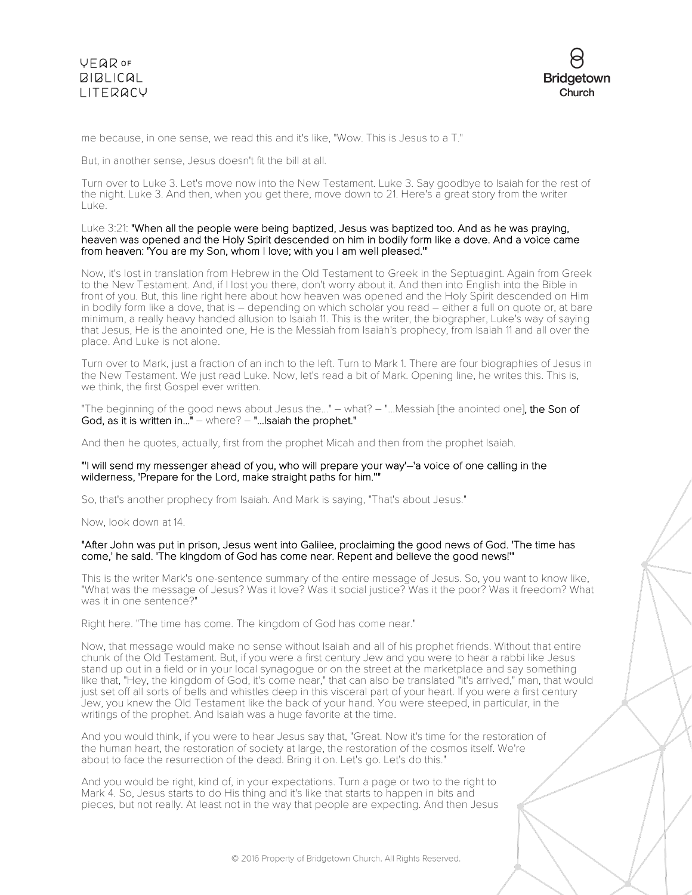

me because, in one sense, we read this and it's like, "Wow. This is Jesus to a T."

But, in another sense, Jesus doesn't fit the bill at all.

Turn over to Luke 3. Let's move now into the New Testament. Luke 3. Say goodbye to Isaiah for the rest of the night. Luke 3. And then, when you get there, move down to 21. Here's a great story from the writer Luke.

#### Luke 3:21: "When all the people were being baptized, Jesus was baptized too. And as he was praying, heaven was opened and the Holy Spirit descended on him in bodily form like a dove. And a voice came from heaven: 'You are my Son, whom I love; with you I am well pleased.'"

Now, it's lost in translation from Hebrew in the Old Testament to Greek in the Septuagint. Again from Greek to the New Testament. And, if I lost you there, don't worry about it. And then into English into the Bible in front of you. But, this line right here about how heaven was opened and the Holy Spirit descended on Him in bodily form like a dove, that is – depending on which scholar you read – either a full on quote or, at bare minimum, a really heavy handed allusion to Isaiah 11. This is the writer, the biographer, Luke's way of saying that Jesus, He is the anointed one, He is the Messiah from Isaiah's prophecy, from Isaiah 11 and all over the place. And Luke is not alone.

Turn over to Mark, just a fraction of an inch to the left. Turn to Mark 1. There are four biographies of Jesus in the New Testament. We just read Luke. Now, let's read a bit of Mark. Opening line, he writes this. This is, we think, the first Gospel ever written.

"The beginning of the good news about Jesus the..." – what? – "...Messiah [the anointed one], the Son of God, as it is written in..." – where? – "...Isaiah the prophet."

And then he quotes, actually, first from the prophet Micah and then from the prophet Isaiah.

#### "'I will send my messenger ahead of you, who will prepare your way'–'a voice of one calling in the wilderness, 'Prepare for the Lord, make straight paths for him.''"

So, that's another prophecy from Isaiah. And Mark is saying, "That's about Jesus."

Now, look down at 14.

#### "After John was put in prison, Jesus went into Galilee, proclaiming the good news of God. 'The time has come,' he said. 'The kingdom of God has come near. Repent and believe the good news!'"

This is the writer Mark's one-sentence summary of the entire message of Jesus. So, you want to know like, "What was the message of Jesus? Was it love? Was it social justice? Was it the poor? Was it freedom? What was it in one sentence?"

Right here. "The time has come. The kingdom of God has come near."

Now, that message would make no sense without Isaiah and all of his prophet friends. Without that entire chunk of the Old Testament. But, if you were a first century Jew and you were to hear a rabbi like Jesus stand up out in a field or in your local synagogue or on the street at the marketplace and say something like that, "Hey, the kingdom of God, it's come near," that can also be translated "it's arrived," man, that would just set off all sorts of bells and whistles deep in this visceral part of your heart. If you were a first century Jew, you knew the Old Testament like the back of your hand. You were steeped, in particular, in the writings of the prophet. And Isaiah was a huge favorite at the time.

And you would think, if you were to hear Jesus say that, "Great. Now it's time for the restoration of the human heart, the restoration of society at large, the restoration of the cosmos itself. We're about to face the resurrection of the dead. Bring it on. Let's go. Let's do this."

And you would be right, kind of, in your expectations. Turn a page or two to the right to Mark 4. So, Jesus starts to do His thing and it's like that starts to happen in bits and pieces, but not really. At least not in the way that people are expecting. And then Jesus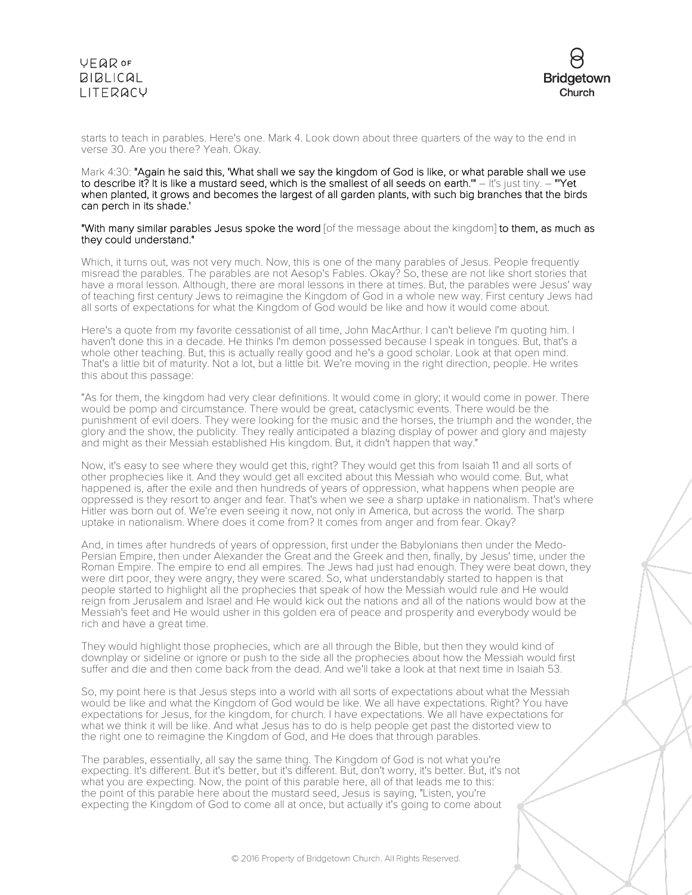

starts to teach in parables. Here's one. Mark 4. Look down about three quarters of the way to the end in verse 30. Are you there? Yeah. Okay.

#### Mark 4:30: "Again he said this, 'What shall we say the kingdom of God is like, or what parable shall we use to describe it? It is like a mustard seed, which is the smallest of all seeds on earth." – It's just tiny. – "'Yet when planted, it grows and becomes the largest of all garden plants, with such big branches that the birds can perch in its shade.'

"With many similar parables Jesus spoke the word [of the message about the kingdom] to them, as much as they could understand."

Which, it turns out, was not very much. Now, this is one of the many parables of Jesus. People frequently misread the parables. The parables are not Aesop's Fables. Okay? So, these are not like short stories that have a moral lesson. Although, there are moral lessons in there at times. But, the parables were Jesus' way of teaching first century Jews to reimagine the Kingdom of God in a whole new way. First century Jews had all sorts of expectations for what the Kingdom of God would be like and how it would come about.

Here's a quote from my favorite cessationist of all time, John MacArthur. I can't believe I'm quoting him. I haven't done this in a decade. He thinks I'm demon possessed because I speak in tongues. But, that's a whole other teaching. But, this is actually really good and he's a good scholar. Look at that open mind. That's a little bit of maturity. Not a lot, but a little bit. We're moving in the right direction, people. He writes this about this passage:

"As for them, the kingdom had very clear definitions. It would come in glory; it would come in power. There would be pomp and circumstance. There would be great, cataclysmic events. There would be the punishment of evil doers. They were looking for the music and the horses, the triumph and the wonder, the glory and the show, the publicity. They really anticipated a blazing display of power and glory and majesty and might as their Messiah established His kingdom. But, it didn't happen that way."

Now, it's easy to see where they would get this, right? They would get this from Isaiah 11 and all sorts of other prophecies like it. And they would get all excited about this Messiah who would come. But, what happened is, after the exile and then hundreds of years of oppression, what happens when people are oppressed is they resort to anger and fear. That's when we see a sharp uptake in nationalism. That's where Hitler was born out of. We're even seeing it now, not only in America, but across the world. The sharp uptake in nationalism. Where does it come from? It comes from anger and from fear. Okay?

And, in times after hundreds of years of oppression, first under the Babylonians then under the Medo-Persian Empire, then under Alexander the Great and the Greek and then, finally, by Jesus' time, under the Roman Empire. The empire to end all empires. The Jews had just had enough. They were beat down, they were dirt poor, they were angry, they were scared. So, what understandably started to happen is that people started to highlight all the prophecies that speak of how the Messiah would rule and He would reign from Jerusalem and Israel and He would kick out the nations and all of the nations would bow at the Messiah's feet and He would usher in this golden era of peace and prosperity and everybody would be rich and have a great time.

They would highlight those prophecies, which are all through the Bible, but then they would kind of downplay or sideline or ignore or push to the side all the prophecies about how the Messiah would first suffer and die and then come back from the dead. And we'll take a look at that next time in Isaiah 53.

So, my point here is that Jesus steps into a world with all sorts of expectations about what the Messiah would be like and what the Kingdom of God would be like. We all have expectations. Right? You have expectations for Jesus, for the kingdom, for church. I have expectations. We all have expectations for what we think it will be like. And what Jesus has to do is help people get past the distorted view to the right one to reimagine the Kingdom of God, and He does that through parables.

The parables, essentially, all say the same thing. The Kingdom of God is not what you're expecting. It's different. But it's better, but it's different. But, don't worry, it's better. But, it's not what you are expecting. Now, the point of this parable here, all of that leads me to this: the point of this parable here about the mustard seed, Jesus is saying, "Listen, you're expecting the Kingdom of God to come all at once, but actually it's going to come about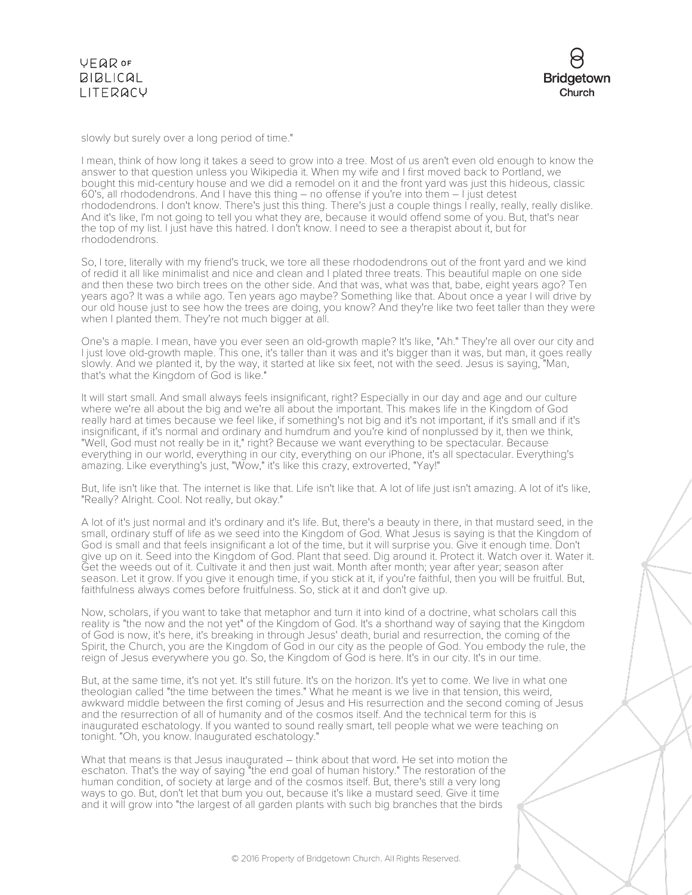slowly but surely over a long period of time."

I mean, think of how long it takes a seed to grow into a tree. Most of us aren't even old enough to know the answer to that question unless you Wikipedia it. When my wife and I first moved back to Portland, we bought this mid-century house and we did a remodel on it and the front yard was just this hideous, classic 60's, all rhododendrons. And I have this thing – no offense if you're into them – I just detest rhododendrons. I don't know. There's just this thing. There's just a couple things I really, really, really dislike. And it's like, I'm not going to tell you what they are, because it would offend some of you. But, that's near the top of my list. I just have this hatred. I don't know. I need to see a therapist about it, but for rhododendrons.

So, I tore, literally with my friend's truck, we tore all these rhododendrons out of the front yard and we kind of redid it all like minimalist and nice and clean and I plated three treats. This beautiful maple on one side and then these two birch trees on the other side. And that was, what was that, babe, eight years ago? Ten years ago? It was a while ago. Ten years ago maybe? Something like that. About once a year I will drive by our old house just to see how the trees are doing, you know? And they're like two feet taller than they were when I planted them. They're not much bigger at all.

One's a maple. I mean, have you ever seen an old-growth maple? It's like, "Ah." They're all over our city and I just love old-growth maple. This one, it's taller than it was and it's bigger than it was, but man, it goes really slowly. And we planted it, by the way, it started at like six feet, not with the seed. Jesus is saying, "Man, that's what the Kingdom of God is like."

It will start small. And small always feels insignificant, right? Especially in our day and age and our culture where we're all about the big and we're all about the important. This makes life in the Kingdom of God really hard at times because we feel like, if something's not big and it's not important, if it's small and if it's insignificant, if it's normal and ordinary and humdrum and you're kind of nonplussed by it, then we think, "Well, God must not really be in it," right? Because we want everything to be spectacular. Because everything in our world, everything in our city, everything on our iPhone, it's all spectacular. Everything's amazing. Like everything's just, "Wow," it's like this crazy, extroverted, "Yay!"

But, life isn't like that. The internet is like that. Life isn't like that. A lot of life just isn't amazing. A lot of it's like, "Really? Alright. Cool. Not really, but okay."

A lot of it's just normal and it's ordinary and it's life. But, there's a beauty in there, in that mustard seed, in the small, ordinary stuff of life as we seed into the Kingdom of God. What Jesus is saying is that the Kingdom of God is small and that feels insignificant a lot of the time, but it will surprise you. Give it enough time. Don't give up on it. Seed into the Kingdom of God. Plant that seed. Dig around it. Protect it. Watch over it. Water it. Get the weeds out of it. Cultivate it and then just wait. Month after month; year after year; season after season. Let it grow. If you give it enough time, if you stick at it, if you're faithful, then you will be fruitful. But, faithfulness always comes before fruitfulness. So, stick at it and don't give up.

Now, scholars, if you want to take that metaphor and turn it into kind of a doctrine, what scholars call this reality is "the now and the not yet" of the Kingdom of God. It's a shorthand way of saying that the Kingdom of God is now, it's here, it's breaking in through Jesus' death, burial and resurrection, the coming of the Spirit, the Church, you are the Kingdom of God in our city as the people of God. You embody the rule, the reign of Jesus everywhere you go. So, the Kingdom of God is here. It's in our city. It's in our time.

But, at the same time, it's not yet. It's still future. It's on the horizon. It's yet to come. We live in what one theologian called "the time between the times." What he meant is we live in that tension, this weird, awkward middle between the first coming of Jesus and His resurrection and the second coming of Jesus and the resurrection of all of humanity and of the cosmos itself. And the technical term for this is inaugurated eschatology. If you wanted to sound really smart, tell people what we were teaching on tonight. "Oh, you know. Inaugurated eschatology."

What that means is that Jesus inaugurated – think about that word. He set into motion the eschaton. That's the way of saying "the end goal of human history." The restoration of the human condition, of society at large and of the cosmos itself. But, there's still a very long ways to go. But, don't let that bum you out, because it's like a mustard seed. Give it time and it will grow into "the largest of all garden plants with such big branches that the birds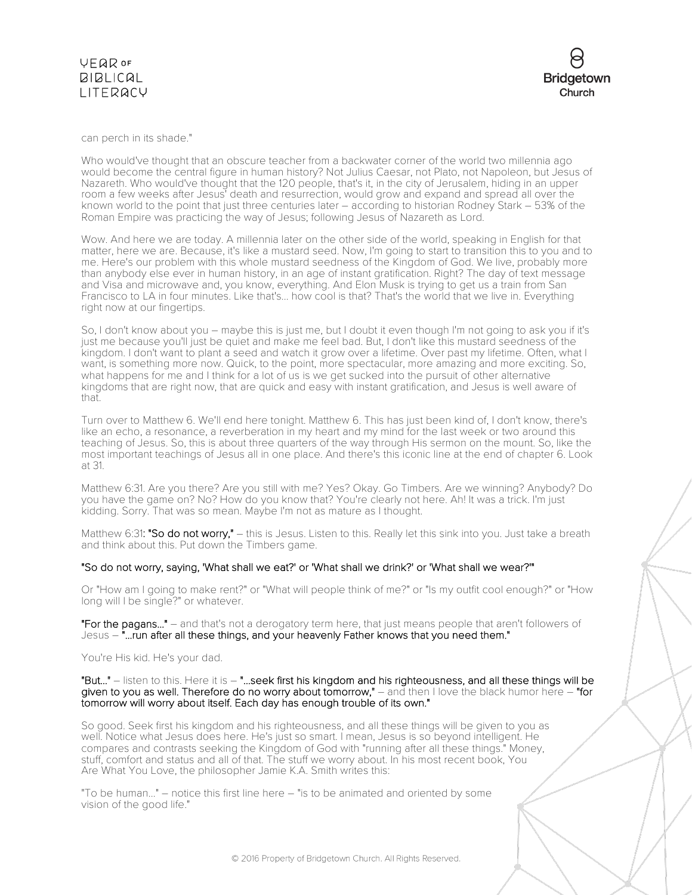can perch in its shade."

Who would've thought that an obscure teacher from a backwater corner of the world two millennia ago would become the central figure in human history? Not Julius Caesar, not Plato, not Napoleon, but Jesus of Nazareth. Who would've thought that the 120 people, that's it, in the city of Jerusalem, hiding in an upper room a few weeks after Jesus' death and resurrection, would grow and expand and spread all over the known world to the point that just three centuries later – according to historian Rodney Stark – 53% of the Roman Empire was practicing the way of Jesus; following Jesus of Nazareth as Lord.

Wow. And here we are today. A millennia later on the other side of the world, speaking in English for that matter, here we are. Because, it's like a mustard seed. Now, I'm going to start to transition this to you and to me. Here's our problem with this whole mustard seedness of the Kingdom of God. We live, probably more than anybody else ever in human history, in an age of instant gratification. Right? The day of text message and Visa and microwave and, you know, everything. And Elon Musk is trying to get us a train from San Francisco to LA in four minutes. Like that's... how cool is that? That's the world that we live in. Everything right now at our fingertips.

So, I don't know about you – maybe this is just me, but I doubt it even though I'm not going to ask you if it's just me because you'll just be quiet and make me feel bad. But, I don't like this mustard seedness of the kingdom. I don't want to plant a seed and watch it grow over a lifetime. Over past my lifetime. Often, what I want, is something more now. Quick, to the point, more spectacular, more amazing and more exciting. So, what happens for me and I think for a lot of us is we get sucked into the pursuit of other alternative kingdoms that are right now, that are quick and easy with instant gratification, and Jesus is well aware of that.

Turn over to Matthew 6. We'll end here tonight. Matthew 6. This has just been kind of, I don't know, there's like an echo, a resonance, a reverberation in my heart and my mind for the last week or two around this teaching of Jesus. So, this is about three quarters of the way through His sermon on the mount. So, like the most important teachings of Jesus all in one place. And there's this iconic line at the end of chapter 6. Look at 31.

Matthew 6:31. Are you there? Are you still with me? Yes? Okay. Go Timbers. Are we winning? Anybody? Do you have the game on? No? How do you know that? You're clearly not here. Ah! It was a trick. I'm just kidding. Sorry. That was so mean. Maybe I'm not as mature as I thought.

Matthew 6:31: "So do not worry," – this is Jesus. Listen to this. Really let this sink into you. Just take a breath and think about this. Put down the Timbers game.

### "So do not worry, saying, 'What shall we eat?' or 'What shall we drink?' or 'What shall we wear?'"

Or "How am I going to make rent?" or "What will people think of me?" or "Is my outfit cool enough?" or "How long will I be single?" or whatever.

"For the pagans..." – and that's not a derogatory term here, that just means people that aren't followers of Jesus – "...run after all these things, and your heavenly Father knows that you need them."

You're His kid. He's your dad.

"But..." – listen to this. Here it is – "...seek first his kingdom and his righteousness, and all these things will be given to you as well. Therefore do no worry about tomorrow," – and then I love the black humor here – "for tomorrow will worry about itself. Each day has enough trouble of its own."

So good. Seek first his kingdom and his righteousness, and all these things will be given to you as well. Notice what Jesus does here. He's just so smart. I mean, Jesus is so beyond intelligent. He compares and contrasts seeking the Kingdom of God with "running after all these things." Money, stuff, comfort and status and all of that. The stuff we worry about. In his most recent book, You Are What You Love, the philosopher Jamie K.A. Smith writes this:

"To be human..." – notice this first line here – "is to be animated and oriented by some vision of the good life."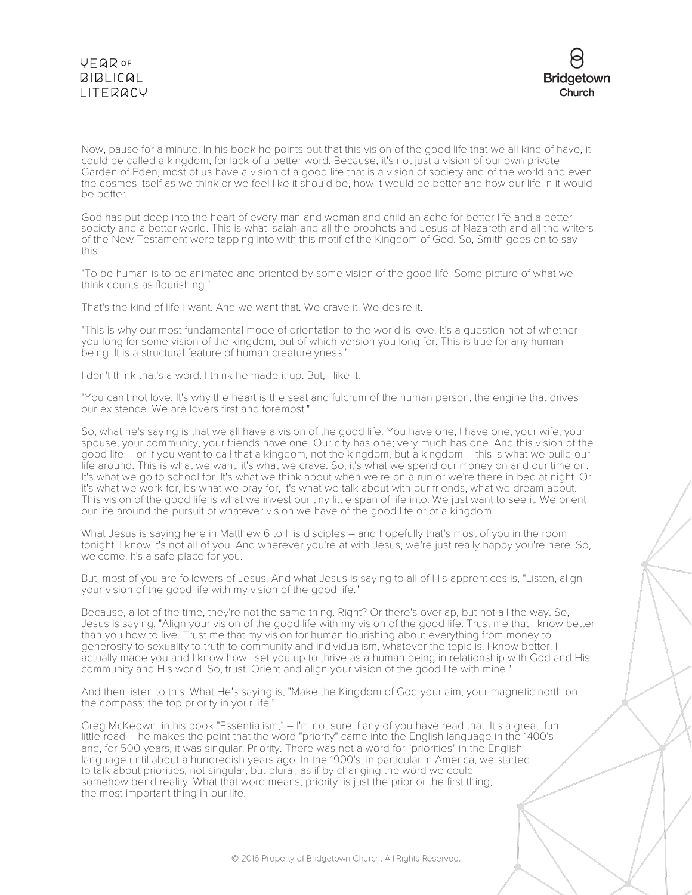

Now, pause for a minute. In his book he points out that this vision of the good life that we all kind of have, it could be called a kingdom, for lack of a better word. Because, it's not just a vision of our own private Garden of Eden, most of us have a vision of a good life that is a vision of society and of the world and even the cosmos itself as we think or we feel like it should be, how it would be better and how our life in it would be better.

God has put deep into the heart of every man and woman and child an ache for better life and a better society and a better world. This is what Isaiah and all the prophets and Jesus of Nazareth and all the writers of the New Testament were tapping into with this motif of the Kingdom of God. So, Smith goes on to say this:

"To be human is to be animated and oriented by some vision of the good life. Some picture of what we think counts as flourishing."

That's the kind of life I want. And we want that. We crave it. We desire it.

"This is why our most fundamental mode of orientation to the world is love. It's a question not of whether you long for some vision of the kingdom, but of which version you long for. This is true for any human being. It is a structural feature of human creaturelyness."

I don't think that's a word. I think he made it up. But, I like it.

"You can't not love. It's why the heart is the seat and fulcrum of the human person; the engine that drives our existence. We are lovers first and foremost."

So, what he's saying is that we all have a vision of the good life. You have one, I have one, your wife, your spouse, your community, your friends have one. Our city has one; very much has one. And this vision of the good life – or if you want to call that a kingdom, not the kingdom, but a kingdom – this is what we build our life around. This is what we want, it's what we crave. So, it's what we spend our money on and our time on. It's what we go to school for. It's what we think about when we're on a run or we're there in bed at night. Or it's what we work for, it's what we pray for, it's what we talk about with our friends, what we dream about. This vision of the good life is what we invest our tiny little span of life into. We just want to see it. We orient our life around the pursuit of whatever vision we have of the good life or of a kingdom.

What Jesus is saying here in Matthew 6 to His disciples – and hopefully that's most of you in the room tonight. I know it's not all of you. And wherever you're at with Jesus, we're just really happy you're here. So, welcome. It's a safe place for you.

But, most of you are followers of Jesus. And what Jesus is saying to all of His apprentices is, "Listen, align your vision of the good life with my vision of the good life."

Because, a lot of the time, they're not the same thing. Right? Or there's overlap, but not all the way. So, Jesus is saying, "Align your vision of the good life with my vision of the good life. Trust me that I know better than you how to live. Trust me that my vision for human flourishing about everything from money to generosity to sexuality to truth to community and individualism, whatever the topic is, I know better. I actually made you and I know how I set you up to thrive as a human being in relationship with God and His community and His world. So, trust. Orient and align your vision of the good life with mine."

And then listen to this. What He's saying is, "Make the Kingdom of God your aim; your magnetic north on the compass; the top priority in your life."

Greg McKeown, in his book "Essentialism," – I'm not sure if any of you have read that. It's a great, fun little read – he makes the point that the word "priority" came into the English language in the 1400's and, for 500 years, it was singular. Priority. There was not a word for "priorities" in the English language until about a hundredish years ago. In the 1900's, in particular in America, we started to talk about priorities, not singular, but plural, as if by changing the word we could somehow bend reality. What that word means, priority, is just the prior or the first thing; the most important thing in our life.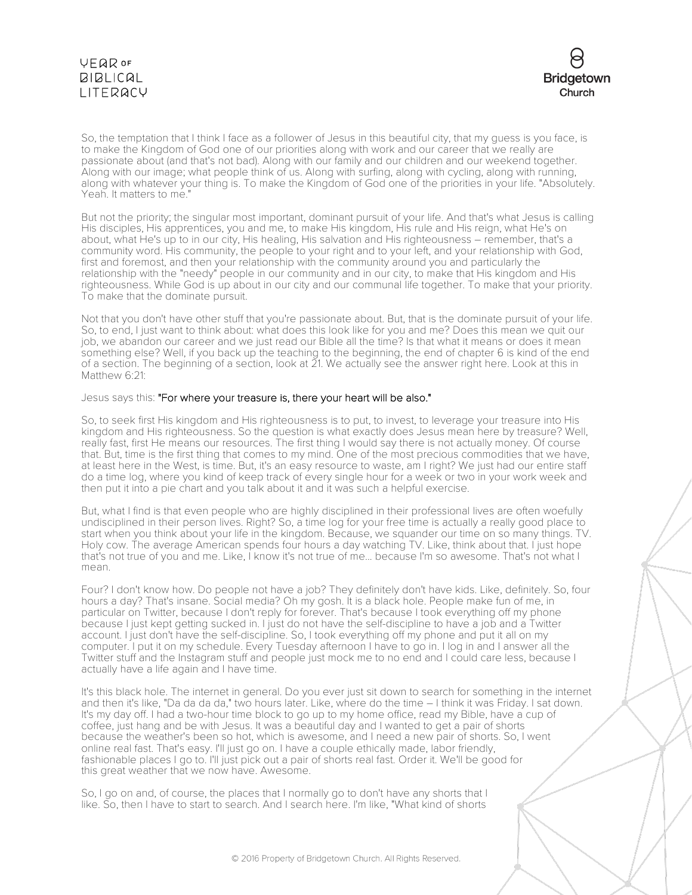

So, the temptation that I think I face as a follower of Jesus in this beautiful city, that my guess is you face, is to make the Kingdom of God one of our priorities along with work and our career that we really are passionate about (and that's not bad). Along with our family and our children and our weekend together. Along with our image; what people think of us. Along with surfing, along with cycling, along with running, along with whatever your thing is. To make the Kingdom of God one of the priorities in your life. "Absolutely. Yeah. It matters to me."

But not the priority; the singular most important, dominant pursuit of your life. And that's what Jesus is calling His disciples, His apprentices, you and me, to make His kingdom, His rule and His reign, what He's on about, what He's up to in our city, His healing, His salvation and His righteousness – remember, that's a community word. His community, the people to your right and to your left, and your relationship with God, first and foremost, and then your relationship with the community around you and particularly the relationship with the "needy" people in our community and in our city, to make that His kingdom and His righteousness. While God is up about in our city and our communal life together. To make that your priority. To make that the dominate pursuit.

Not that you don't have other stuff that you're passionate about. But, that is the dominate pursuit of your life. So, to end, I just want to think about: what does this look like for you and me? Does this mean we quit our job, we abandon our career and we just read our Bible all the time? Is that what it means or does it mean something else? Well, if you back up the teaching to the beginning, the end of chapter 6 is kind of the end of a section. The beginning of a section, look at 21. We actually see the answer right here. Look at this in Matthew 6:21:

#### Jesus says this: "For where your treasure is, there your heart will be also."

So, to seek first His kingdom and His righteousness is to put, to invest, to leverage your treasure into His kingdom and His righteousness. So the question is what exactly does Jesus mean here by treasure? Well, really fast, first He means our resources. The first thing I would say there is not actually money. Of course that. But, time is the first thing that comes to my mind. One of the most precious commodities that we have, at least here in the West, is time. But, it's an easy resource to waste, am I right? We just had our entire staff do a time log, where you kind of keep track of every single hour for a week or two in your work week and then put it into a pie chart and you talk about it and it was such a helpful exercise.

But, what I find is that even people who are highly disciplined in their professional lives are often woefully undisciplined in their person lives. Right? So, a time log for your free time is actually a really good place to start when you think about your life in the kingdom. Because, we squander our time on so many things. TV. Holy cow. The average American spends four hours a day watching TV. Like, think about that. I just hope that's not true of you and me. Like, I know it's not true of me... because I'm so awesome. That's not what I mean.

Four? I don't know how. Do people not have a job? They definitely don't have kids. Like, definitely. So, four hours a day? That's insane. Social media? Oh my gosh. It is a black hole. People make fun of me, in particular on Twitter, because I don't reply for forever. That's because I took everything off my phone because I just kept getting sucked in. I just do not have the self-discipline to have a job and a Twitter account. I just don't have the self-discipline. So, I took everything off my phone and put it all on my computer. I put it on my schedule. Every Tuesday afternoon I have to go in. I log in and I answer all the Twitter stuff and the Instagram stuff and people just mock me to no end and I could care less, because I actually have a life again and I have time.

It's this black hole. The internet in general. Do you ever just sit down to search for something in the internet and then it's like, "Da da da da," two hours later. Like, where do the time – I think it was Friday. I sat down. It's my day off. I had a two-hour time block to go up to my home office, read my Bible, have a cup of coffee, just hang and be with Jesus. It was a beautiful day and I wanted to get a pair of shorts because the weather's been so hot, which is awesome, and I need a new pair of shorts. So, I went online real fast. That's easy. I'll just go on. I have a couple ethically made, labor friendly, fashionable places I go to. I'll just pick out a pair of shorts real fast. Order it. We'll be good for this great weather that we now have. Awesome.

So, I go on and, of course, the places that I normally go to don't have any shorts that I like. So, then I have to start to search. And I search here. I'm like, "What kind of shorts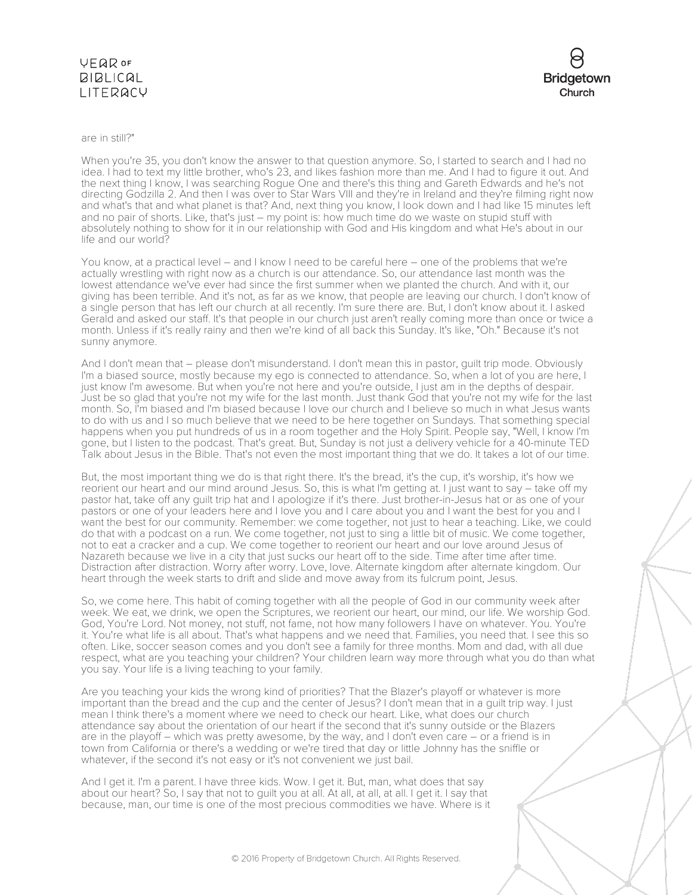

are in still?"

When you're 35, you don't know the answer to that question anymore. So, I started to search and I had no idea. I had to text my little brother, who's 23, and likes fashion more than me. And I had to figure it out. And the next thing I know, I was searching Rogue One and there's this thing and Gareth Edwards and he's not directing Godzilla 2. And then I was over to Star Wars VIII and they're in Ireland and they're filming right now and what's that and what planet is that? And, next thing you know, I look down and I had like 15 minutes left and no pair of shorts. Like, that's just – my point is: how much time do we waste on stupid stuff with absolutely nothing to show for it in our relationship with God and His kingdom and what He's about in our life and our world?

You know, at a practical level – and I know I need to be careful here – one of the problems that we're actually wrestling with right now as a church is our attendance. So, our attendance last month was the lowest attendance we've ever had since the first summer when we planted the church. And with it, our giving has been terrible. And it's not, as far as we know, that people are leaving our church. I don't know of a single person that has left our church at all recently. I'm sure there are. But, I don't know about it. I asked Gerald and asked our staff. It's that people in our church just aren't really coming more than once or twice a month. Unless if it's really rainy and then we're kind of all back this Sunday. It's like, "Oh." Because it's not sunny anymore.

And I don't mean that – please don't misunderstand. I don't mean this in pastor, guilt trip mode. Obviously I'm a biased source, mostly because my ego is connected to attendance. So, when a lot of you are here, I just know I'm awesome. But when you're not here and you're outside, I just am in the depths of despair. Just be so glad that you're not my wife for the last month. Just thank God that you're not my wife for the last month. So, I'm biased and I'm biased because I love our church and I believe so much in what Jesus wants to do with us and I so much believe that we need to be here together on Sundays. That something special happens when you put hundreds of us in a room together and the Holy Spirit. People say, "Well, I know I'm gone, but I listen to the podcast. That's great. But, Sunday is not just a delivery vehicle for a 40-minute TED Talk about Jesus in the Bible. That's not even the most important thing that we do. It takes a lot of our time.

But, the most important thing we do is that right there. It's the bread, it's the cup, it's worship, it's how we reorient our heart and our mind around Jesus. So, this is what I'm getting at. I just want to say – take off my pastor hat, take off any guilt trip hat and I apologize if it's there. Just brother-in-Jesus hat or as one of your pastors or one of your leaders here and I love you and I care about you and I want the best for you and I want the best for our community. Remember: we come together, not just to hear a teaching. Like, we could do that with a podcast on a run. We come together, not just to sing a little bit of music. We come together, not to eat a cracker and a cup. We come together to reorient our heart and our love around Jesus of Nazareth because we live in a city that just sucks our heart off to the side. Time after time after time. Distraction after distraction. Worry after worry. Love, love. Alternate kingdom after alternate kingdom. Our heart through the week starts to drift and slide and move away from its fulcrum point, Jesus.

So, we come here. This habit of coming together with all the people of God in our community week after week. We eat, we drink, we open the Scriptures, we reorient our heart, our mind, our life. We worship God. God, You're Lord. Not money, not stuff, not fame, not how many followers I have on whatever. You. You're it. You're what life is all about. That's what happens and we need that. Families, you need that. I see this so often. Like, soccer season comes and you don't see a family for three months. Mom and dad, with all due respect, what are you teaching your children? Your children learn way more through what you do than what you say. Your life is a living teaching to your family.

Are you teaching your kids the wrong kind of priorities? That the Blazer's playoff or whatever is more important than the bread and the cup and the center of Jesus? I don't mean that in a guilt trip way. I just mean I think there's a moment where we need to check our heart. Like, what does our church attendance say about the orientation of our heart if the second that it's sunny outside or the Blazers are in the playoff – which was pretty awesome, by the way, and I don't even care – or a friend is in town from California or there's a wedding or we're tired that day or little Johnny has the sniffle or whatever, if the second it's not easy or it's not convenient we just bail.

And I get it. I'm a parent. I have three kids. Wow. I get it. But, man, what does that say about our heart? So, I say that not to guilt you at all. At all, at all, at all. I get it. I say that because, man, our time is one of the most precious commodities we have. Where is it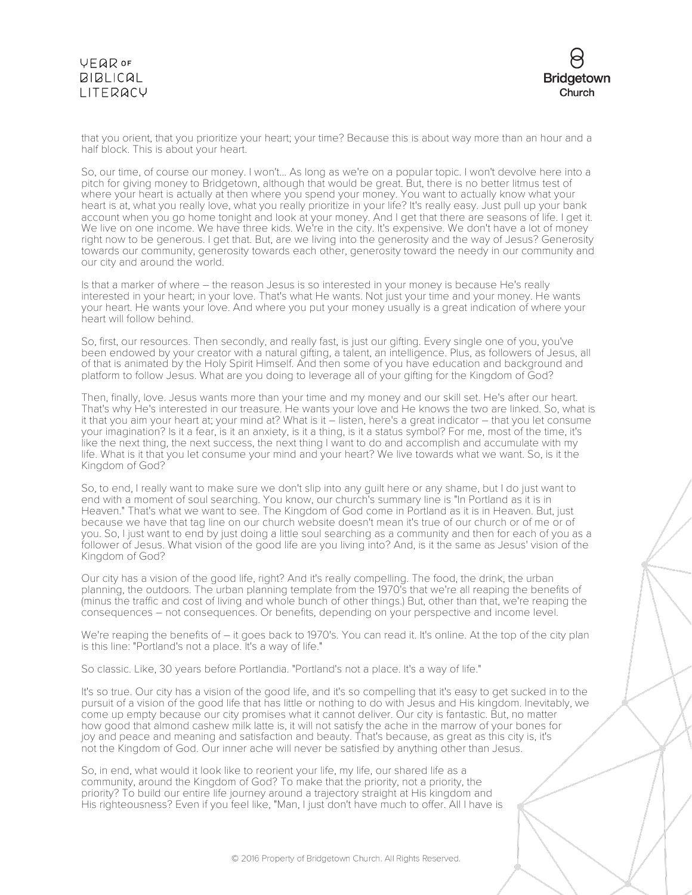

that you orient, that you prioritize your heart; your time? Because this is about way more than an hour and a half block. This is about your heart.

So, our time, of course our money. I won't... As long as we're on a popular topic. I won't devolve here into a pitch for giving money to Bridgetown, although that would be great. But, there is no better litmus test of where your heart is actually at then where you spend your money. You want to actually know what your heart is at, what you really love, what you really prioritize in your life? It's really easy. Just pull up your bank account when you go home tonight and look at your money. And I get that there are seasons of life. I get it. We live on one income. We have three kids. We're in the city. It's expensive. We don't have a lot of money right now to be generous. I get that. But, are we living into the generosity and the way of Jesus? Generosity towards our community, generosity towards each other, generosity toward the needy in our community and our city and around the world.

Is that a marker of where – the reason Jesus is so interested in your money is because He's really interested in your heart; in your love. That's what He wants. Not just your time and your money. He wants your heart. He wants your love. And where you put your money usually is a great indication of where your heart will follow behind.

So, first, our resources. Then secondly, and really fast, is just our gifting. Every single one of you, you've been endowed by your creator with a natural gifting, a talent, an intelligence. Plus, as followers of Jesus, all of that is animated by the Holy Spirit Himself. And then some of you have education and background and platform to follow Jesus. What are you doing to leverage all of your gifting for the Kingdom of God?

Then, finally, love. Jesus wants more than your time and my money and our skill set. He's after our heart. That's why He's interested in our treasure. He wants your love and He knows the two are linked. So, what is it that you aim your heart at; your mind at? What is it – listen, here's a great indicator – that you let consume your imagination? Is it a fear, is it an anxiety, is it a thing, is it a status symbol? For me, most of the time, it's like the next thing, the next success, the next thing I want to do and accomplish and accumulate with my life. What is it that you let consume your mind and your heart? We live towards what we want. So, is it the Kingdom of God?

So, to end, I really want to make sure we don't slip into any guilt here or any shame, but I do just want to end with a moment of soul searching. You know, our church's summary line is "In Portland as it is in Heaven." That's what we want to see. The Kingdom of God come in Portland as it is in Heaven. But, just because we have that tag line on our church website doesn't mean it's true of our church or of me or of you. So, I just want to end by just doing a little soul searching as a community and then for each of you as a follower of Jesus. What vision of the good life are you living into? And, is it the same as Jesus' vision of the Kingdom of God?

Our city has a vision of the good life, right? And it's really compelling. The food, the drink, the urban planning, the outdoors. The urban planning template from the 1970's that we're all reaping the benefits of (minus the traffic and cost of living and whole bunch of other things.) But, other than that, we're reaping the consequences – not consequences. Or benefits, depending on your perspective and income level.

We're reaping the benefits of – it goes back to 1970's. You can read it. It's online. At the top of the city plan is this line: "Portland's not a place. It's a way of life."

So classic. Like, 30 years before Portlandia. "Portland's not a place. It's a way of life."

It's so true. Our city has a vision of the good life, and it's so compelling that it's easy to get sucked in to the pursuit of a vision of the good life that has little or nothing to do with Jesus and His kingdom. Inevitably, we come up empty because our city promises what it cannot deliver. Our city is fantastic. But, no matter how good that almond cashew milk latte is, it will not satisfy the ache in the marrow of your bones for joy and peace and meaning and satisfaction and beauty. That's because, as great as this city is, it's not the Kingdom of God. Our inner ache will never be satisfied by anything other than Jesus.

So, in end, what would it look like to reorient your life, my life, our shared life as a community, around the Kingdom of God? To make that the priority, not a priority, the priority? To build our entire life journey around a trajectory straight at His kingdom and His righteousness? Even if you feel like, "Man, I just don't have much to offer. All I have is